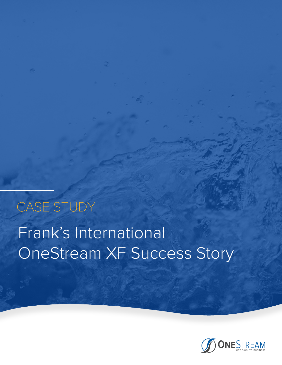# Frank's International OneStream XF Success Story CASE STUDY

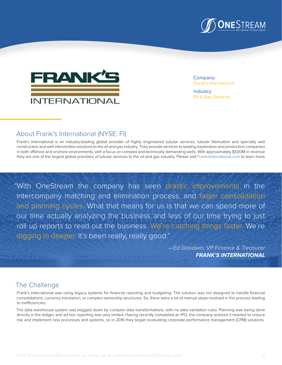



Company: Frank's International

Industry: Oil & Gas Services

# About Frank's International (NYSE: FI)

Frank's International is an industry-leading global provider of highly engineered tubular services, tubular fabrication and specialty well construction and well intervention solutions to the oil and gas industry. They provide services to leading exploration and production companies in both offshore and onshore environments, with a focus on complex and technically demanding wells. With approximately \$500M in revenue they are one of the largest global providers of tubular services to the oil and gas industry. Please visit [FranksInternational.com](http://www.franksinternational.com) to learn more.

"With OneStream the company has seen drastic improvements in the intercompany matching and elimination process, and faster consolidation and planning cycles. What that means for us is that we can spend more of our time actually analyzing the business and less of our time trying to just roll up reports to read out the business. We're catching things faster. We're digging in deeper. It's been really, really good."

> *—Ed Goodwin, VP Finance & Treasurer* **FRANK'S INTERNATIONAL**

## The Challenge

Frank's International was using legacy systems for financial reporting and budgeting. The solution was not designed to handle financial consolidations, currency translation, or complex ownership structures. So, there were a lot of manual steps involved in the process leading to inefficiencies.

The data warehouse system was bogged down by complex data transformations, with no data validation rules. Planning was being done directly in the ledger, and ad hoc reporting was very limited. Having recently completed an IPO, the company realized it needed to reduce risk and implement new processes and systems, so in 2016 they began evaluating corporate performance management (CPM) solutions.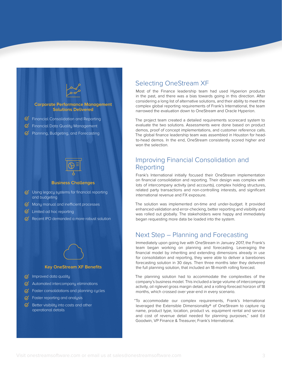

#### **Key OneStream XF Benefits**

- $\oslash$  Improved data quality
- $\%$  Automated intercompany eliminations
- $\sigma$  Faster consolidations and planning cycles
- $\mathcal G$  Faster reporting and analysis
- $\mathcal G$  Better visibility into costs and other operational details

### Selecting OneStream XF

Most of the Finance leadership team had used Hyperion products in the past, and there was a bias towards going in this direction. After considering a long list of alternative solutions, and their ability to meet the complex global reporting requirements of Frank's International, the team narrowed the evaluation down to OneStream and Oracle Hyperion.

The project team created a detailed requirements scorecard system to evaluate the two solutions. Assessments were done based on product demos, proof of concept implementations, and customer reference calls. The global finance leadership team was assembled in Houston for headto-head demos. In the end, OneStream consistently scored higher and won the selection.

### Improving Financial Consolidation and Reporting

Frank's International initially focused their OneStream implementation on financial consolidation and reporting. Their design was complex with lots of intercompany activity (and accounts), complex holding structures, related party transactions and non-controlling interests, and significant international revenue and FX exposure.

The solution was implemented on-time and under-budget. It provided enhanced validation and error-checking, better reporting and visibility and was rolled out globally. The stakeholders were happy and immediately began requesting more data be loaded into the system.

#### Next Step – Planning and Forecasting

Immediately upon going live with OneStream in January 2017, the Frank's team began working on planning and forecasting. Leveraging the financial model by inheriting and extending dimensions already in use for consolidation and reporting, they were able to deliver a barebones forecasting solution in 30 days. Then three months later they delivered the full planning solution, that included an 18-month rolling forecast.

The planning solution had to accommodate the complexities of the company's business model. This included a large volume of intercompany activity, oil riglevel gross margin detail, and a rolling-forecast horizon of 18 months, which crossed over year-end in every scenario.

"To accommodate our complex requirements, Frank's International leveraged the Extensible Dimensionality® of OneStream to capture rig name, product type, location, product vs. equipment rental and service and cost of revenue detail needed for planning purposes," said Ed Goodwin, VP Finance & Treasurer, Frank's International.